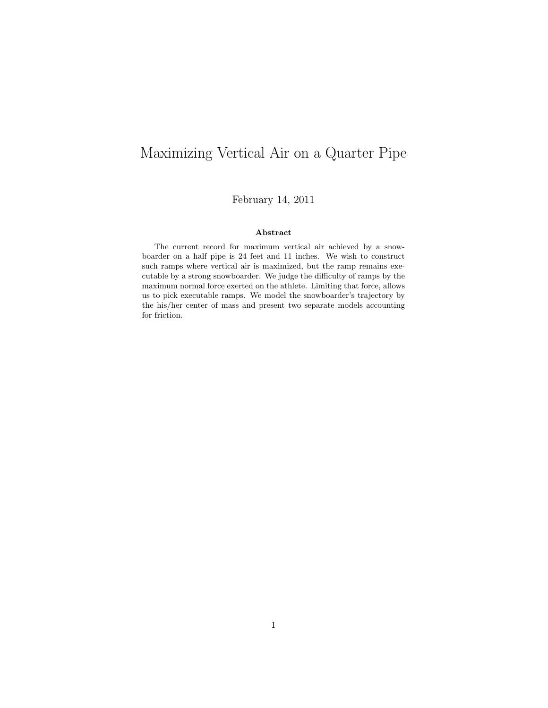# Maximizing Vertical Air on a Quarter Pipe

February 14, 2011

#### Abstract

The current record for maximum vertical air achieved by a snowboarder on a half pipe is 24 feet and 11 inches. We wish to construct such ramps where vertical air is maximized, but the ramp remains executable by a strong snowboarder. We judge the difficulty of ramps by the maximum normal force exerted on the athlete. Limiting that force, allows us to pick executable ramps. We model the snowboarder's trajectory by the his/her center of mass and present two separate models accounting for friction.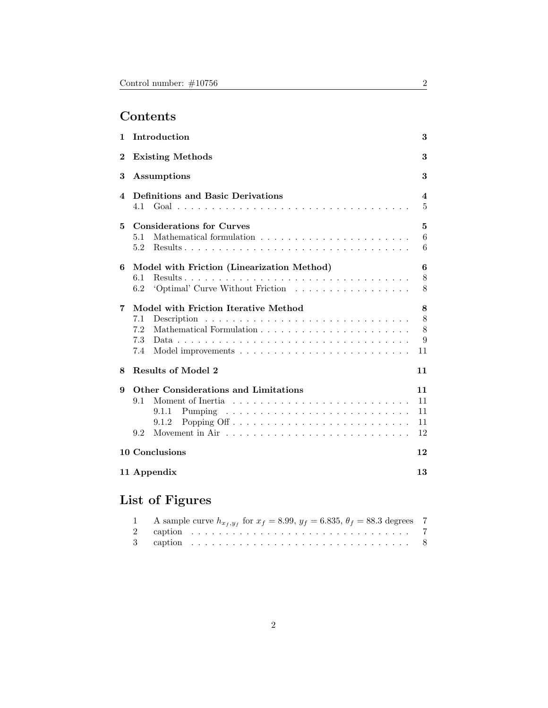# Contents

| 1        | Introduction                                                                                 | 3                          |  |  |  |  |  |  |  |  |  |  |  |  |
|----------|----------------------------------------------------------------------------------------------|----------------------------|--|--|--|--|--|--|--|--|--|--|--|--|
| $\bf{2}$ | <b>Existing Methods</b>                                                                      | 3                          |  |  |  |  |  |  |  |  |  |  |  |  |
| 3        | Assumptions                                                                                  |                            |  |  |  |  |  |  |  |  |  |  |  |  |
| 4        | <b>Definitions and Basic Derivations</b><br>4.1                                              | 4<br>$\overline{5}$        |  |  |  |  |  |  |  |  |  |  |  |  |
| 5.       | <b>Considerations for Curves</b><br>5.1<br>$5.2^{\circ}$                                     | 5<br>6<br>6                |  |  |  |  |  |  |  |  |  |  |  |  |
| 6        | Model with Friction (Linearization Method)<br>6.1<br>'Optimal' Curve Without Friction<br>6.2 | 6<br>8<br>8                |  |  |  |  |  |  |  |  |  |  |  |  |
| 7        | Model with Friction Iterative Method<br>7.1<br>7.2<br>7.3<br>7.4                             | 8<br>8<br>8<br>9<br>11     |  |  |  |  |  |  |  |  |  |  |  |  |
| 8        | <b>Results of Model 2</b>                                                                    | 11                         |  |  |  |  |  |  |  |  |  |  |  |  |
| 9        | Other Considerations and Limitations<br>9.1<br>9.1.1<br>9.1.2<br>9.2                         | 11<br>11<br>11<br>11<br>12 |  |  |  |  |  |  |  |  |  |  |  |  |
|          | 10 Conclusions                                                                               | 12                         |  |  |  |  |  |  |  |  |  |  |  |  |
|          | 11 Appendix                                                                                  | 13                         |  |  |  |  |  |  |  |  |  |  |  |  |

# List of Figures

| 1 A sample curve $h_{x_f, y_f}$ for $x_f = 8.99, y_f = 6.835, \theta_f = 88.3$ degrees 7 |  |
|------------------------------------------------------------------------------------------|--|
|                                                                                          |  |
|                                                                                          |  |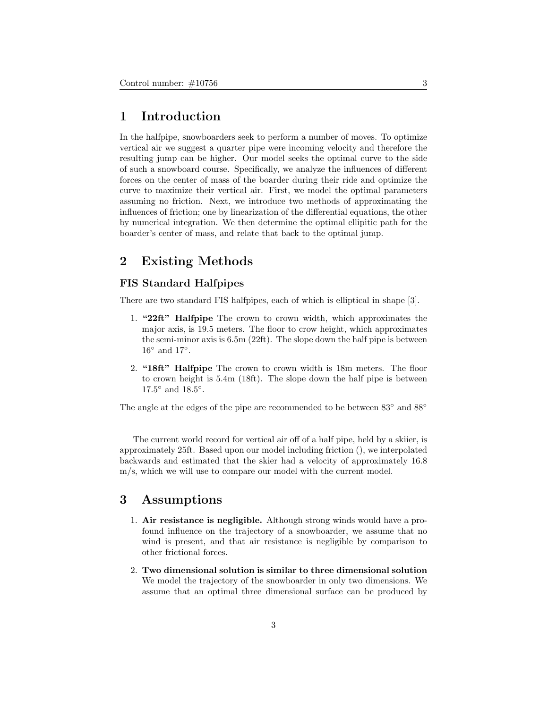### 1 Introduction

In the halfpipe, snowboarders seek to perform a number of moves. To optimize vertical air we suggest a quarter pipe were incoming velocity and therefore the resulting jump can be higher. Our model seeks the optimal curve to the side of such a snowboard course. Specifically, we analyze the influences of different forces on the center of mass of the boarder during their ride and optimize the curve to maximize their vertical air. First, we model the optimal parameters assuming no friction. Next, we introduce two methods of approximating the influences of friction; one by linearization of the differential equations, the other by numerical integration. We then determine the optimal ellipitic path for the boarder's center of mass, and relate that back to the optimal jump.

### 2 Existing Methods

#### FIS Standard Halfpipes

There are two standard FIS halfpipes, each of which is elliptical in shape [3].

- 1. "22ft" Halfpipe The crown to crown width, which approximates the major axis, is 19.5 meters. The floor to crow height, which approximates the semi-minor axis is 6.5m (22ft). The slope down the half pipe is between  $16°$  and  $17°$ .
- 2. "18ft" Halfpipe The crown to crown width is 18m meters. The floor to crown height is 5.4m (18ft). The slope down the half pipe is between  $17.5^{\circ}$  and  $18.5^{\circ}$ .

The angle at the edges of the pipe are recommended to be between  $83°$  and  $88°$ 

The current world record for vertical air off of a half pipe, held by a skiier, is approximately 25ft. Based upon our model including friction (), we interpolated backwards and estimated that the skier had a velocity of approximately 16.8 m/s, which we will use to compare our model with the current model.

### 3 Assumptions

- 1. Air resistance is negligible. Although strong winds would have a profound influence on the trajectory of a snowboarder, we assume that no wind is present, and that air resistance is negligible by comparison to other frictional forces.
- 2. Two dimensional solution is similar to three dimensional solution We model the trajectory of the snowboarder in only two dimensions. We assume that an optimal three dimensional surface can be produced by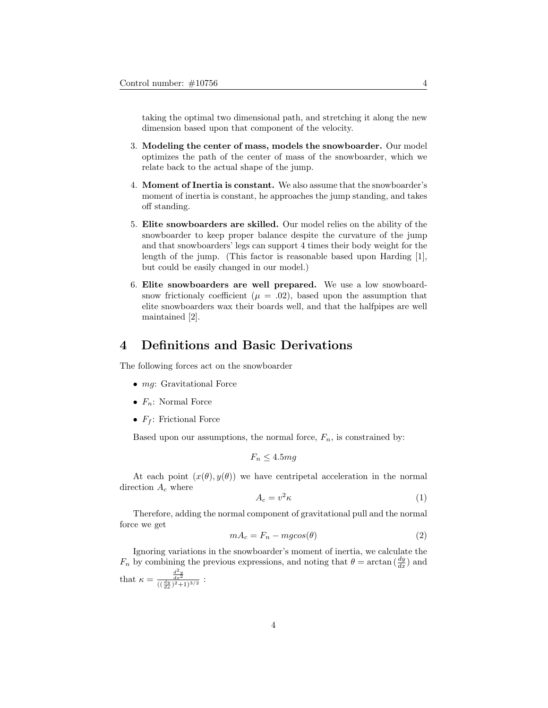taking the optimal two dimensional path, and stretching it along the new dimension based upon that component of the velocity.

- 3. Modeling the center of mass, models the snowboarder. Our model optimizes the path of the center of mass of the snowboarder, which we relate back to the actual shape of the jump.
- 4. Moment of Inertia is constant. We also assume that the snowboarder's moment of inertia is constant, he approaches the jump standing, and takes off standing.
- 5. Elite snowboarders are skilled. Our model relies on the ability of the snowboarder to keep proper balance despite the curvature of the jump and that snowboarders' legs can support 4 times their body weight for the length of the jump. (This factor is reasonable based upon Harding [1], but could be easily changed in our model.)
- 6. Elite snowboarders are well prepared. We use a low snowboardsnow frictionaly coefficient ( $\mu = .02$ ), based upon the assumption that elite snowboarders wax their boards well, and that the halfpipes are well maintained [2].

### 4 Definitions and Basic Derivations

The following forces act on the snowboarder

- *mg*: Gravitational Force
- $F_n$ : Normal Force
- $F_f$ : Frictional Force

Based upon our assumptions, the normal force,  $F_n$ , is constrained by:

$$
F_n \leq 4.5mg
$$

At each point  $(x(\theta), y(\theta))$  we have centripetal acceleration in the normal direction  $A_c$  where

$$
A_c = v^2 \kappa \tag{1}
$$

Therefore, adding the normal component of gravitational pull and the normal force we get

$$
mA_c = F_n - mg\cos(\theta) \tag{2}
$$

Ignoring variations in the snowboarder's moment of inertia, we calculate the  $F_n$  by combining the previous expressions, and noting that  $\theta = \arctan\left(\frac{dy}{dx}\right)$  and that  $\kappa = \frac{\frac{d^2y}{dx^2}}{((\frac{dy}{dx})^2 + 1)^{3/2}}$ :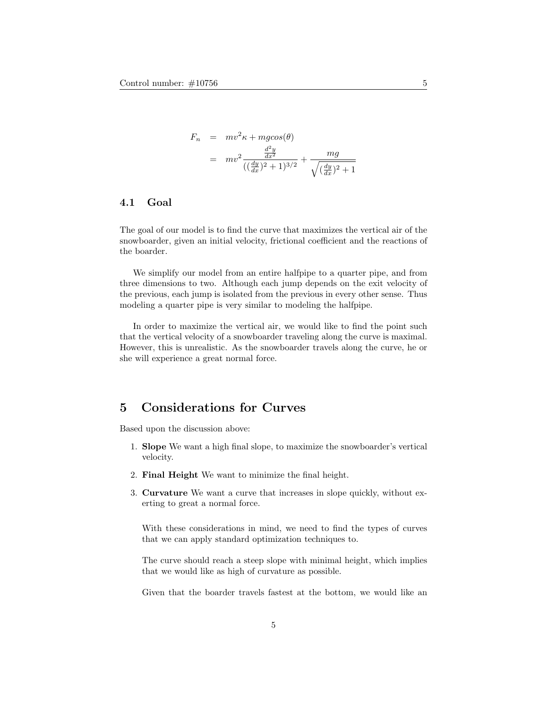$$
F_n = mv^2 \kappa + mg \cos(\theta)
$$
  
=  $mv^2 \frac{\frac{d^2y}{dx^2}}{((\frac{dy}{dx})^2 + 1)^{3/2}} + \frac{mg}{\sqrt{(\frac{dy}{dx})^2 + 1}}$ 

### 4.1 Goal

The goal of our model is to find the curve that maximizes the vertical air of the snowboarder, given an initial velocity, frictional coefficient and the reactions of the boarder.

We simplify our model from an entire halfpipe to a quarter pipe, and from three dimensions to two. Although each jump depends on the exit velocity of the previous, each jump is isolated from the previous in every other sense. Thus modeling a quarter pipe is very similar to modeling the halfpipe.

In order to maximize the vertical air, we would like to find the point such that the vertical velocity of a snowboarder traveling along the curve is maximal. However, this is unrealistic. As the snowboarder travels along the curve, he or she will experience a great normal force.

### 5 Considerations for Curves

Based upon the discussion above:

- 1. Slope We want a high final slope, to maximize the snowboarder's vertical velocity.
- 2. Final Height We want to minimize the final height.
- 3. Curvature We want a curve that increases in slope quickly, without exerting to great a normal force.

With these considerations in mind, we need to find the types of curves that we can apply standard optimization techniques to.

The curve should reach a steep slope with minimal height, which implies that we would like as high of curvature as possible.

Given that the boarder travels fastest at the bottom, we would like an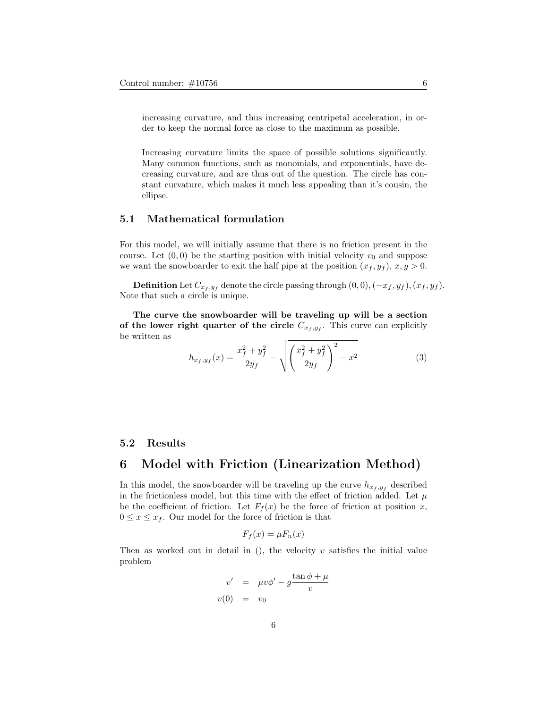increasing curvature, and thus increasing centripetal acceleration, in order to keep the normal force as close to the maximum as possible.

Increasing curvature limits the space of possible solutions significantly. Many common functions, such as monomials, and exponentials, have decreasing curvature, and are thus out of the question. The circle has constant curvature, which makes it much less appealing than it's cousin, the ellipse.

### 5.1 Mathematical formulation

For this model, we will initially assume that there is no friction present in the course. Let  $(0, 0)$  be the starting position with initial velocity  $v_0$  and suppose we want the snowboarder to exit the half pipe at the position  $(x_f, y_f), x, y > 0$ .

**Definition** Let  $C_{x_f, y_f}$  denote the circle passing through  $(0, 0), (-x_f, y_f), (x_f, y_f)$ . Note that such a circle is unique.

The curve the snowboarder will be traveling up will be a section of the lower right quarter of the circle  $C_{x_f, y_f}$ . This curve can explicitly be written as

$$
h_{x_f, y_f}(x) = \frac{x_f^2 + y_f^2}{2y_f} - \sqrt{\left(\frac{x_f^2 + y_f^2}{2y_f}\right)^2 - x^2}
$$
 (3)

#### 5.2 Results

### 6 Model with Friction (Linearization Method)

In this model, the snowboarder will be traveling up the curve  $h_{x_f, y_f}$  described in the frictionless model, but this time with the effect of friction added. Let  $\mu$ be the coefficient of friction. Let  $F_f(x)$  be the force of friction at position x,  $0 \leq x \leq x_f$ . Our model for the force of friction is that

$$
F_f(x) = \mu F_n(x)
$$

Then as worked out in detail in  $($ ), the velocity  $v$  satisfies the initial value problem

$$
v' = \mu v \phi' - g \frac{\tan \phi + \mu}{v}
$$
  

$$
v(0) = v_0
$$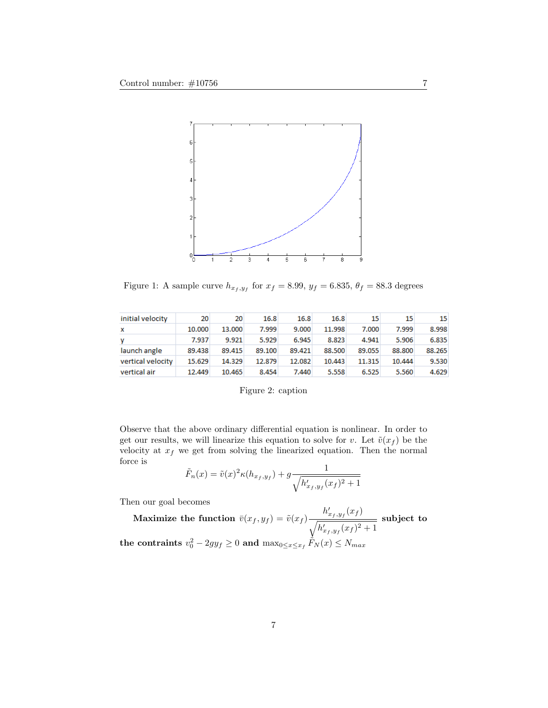

Figure 1: A sample curve  $h_{x_f, y_f}$  for  $x_f = 8.99$ ,  $y_f = 6.835$ ,  $\theta_f = 88.3$  degrees

| initial velocity  | 20     | 20     | 16.8   | 16.8   | 16.8   | 15     | 15     | 15     |
|-------------------|--------|--------|--------|--------|--------|--------|--------|--------|
| x                 | 10.000 | 13,000 | 7.999  | 9.000  | 11.998 | 7.000  | 7.999  | 8.998  |
| v                 | 7.937  | 9.921  | 5.929  | 6.945  | 8.823  | 4.941  | 5.906  | 6.835  |
| launch angle      | 89.438 | 89.415 | 89.100 | 89.421 | 88.500 | 89.055 | 88,800 | 88.265 |
| vertical velocity | 15.629 | 14.329 | 12.879 | 12.082 | 10.443 | 11.315 | 10.444 | 9.530  |
| vertical air      | 12,449 | 10.465 | 8.454  | 7.440  | 5.558  | 6.525  | 5.560  | 4.629  |

|  |  | Figure 2: caption |
|--|--|-------------------|
|--|--|-------------------|

Observe that the above ordinary differential equation is nonlinear. In order to get our results, we will linearize this equation to solve for v. Let  $\tilde{v}(x_f)$  be the velocity at  $x_f$  we get from solving the linearized equation. Then the normal force is

$$
\tilde{F}_n(x) = \tilde{v}(x)^2 \kappa(h_{x_f, y_f}) + g \frac{1}{\sqrt{h'_{x_f, y_f}(x_f)^2 + 1}}
$$

Then our goal becomes

Maximize the function  $\bar{v}(x_f, y_f) = \tilde{v}(x_f)$  $h'_{x_f, y_f}(x_f)$  $\sqrt{h'_{x_f, y_f}(x_f)^2 + 1}$ subject to the contraints  $v_0^2 - 2gy_f \geq 0$  and  $\max_{0 \leq x \leq x_f} \tilde{F}_N(x) \leq N_{max}$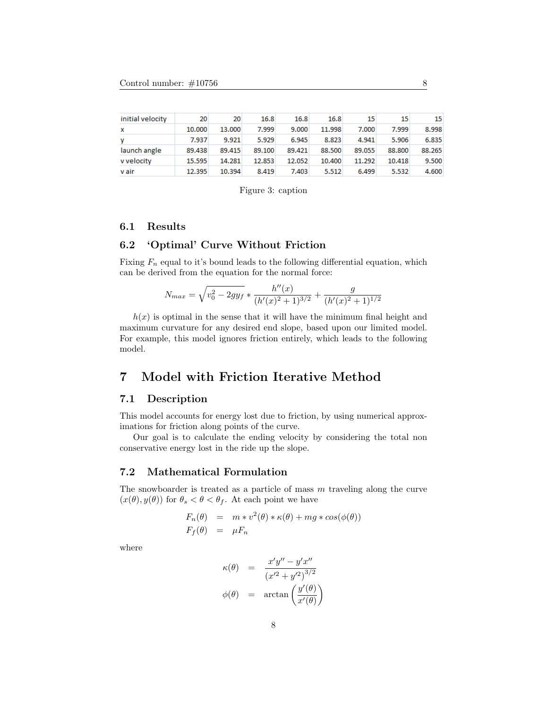| initial velocity | 20     | 20     | 16.8   | 16.8   | 16.8   | 15     | 15     | 15     |
|------------------|--------|--------|--------|--------|--------|--------|--------|--------|
| x                | 10,000 | 13.000 | 7.999  | 9.000  | 11.998 | 7.000  | 7.999  | 8.998  |
| v                | 7.937  | 9.921  | 5.929  | 6.945  | 8.823  | 4.941  | 5.906  | 6.835  |
| launch angle     | 89.438 | 89.415 | 89.100 | 89.421 | 88.500 | 89.055 | 88,800 | 88.265 |
| v velocity       | 15.595 | 14.281 | 12.853 | 12.052 | 10.400 | 11.292 | 10.418 | 9.500  |
| v air            | 12.395 | 10.394 | 8.419  | 7.403  | 5.512  | 6.499  | 5.532  | 4.600  |

Figure 3: caption

### 6.1 Results

#### 6.2 'Optimal' Curve Without Friction

Fixing  $F_n$  equal to it's bound leads to the following differential equation, which can be derived from the equation for the normal force:

$$
N_{max} = \sqrt{v_0^2 - 2gy_f} * \frac{h''(x)}{(h'(x)^2 + 1)^{3/2}} + \frac{g}{(h'(x)^2 + 1)^{1/2}}
$$

 $h(x)$  is optimal in the sense that it will have the minimum final height and maximum curvature for any desired end slope, based upon our limited model. For example, this model ignores friction entirely, which leads to the following model.

### 7 Model with Friction Iterative Method

### 7.1 Description

This model accounts for energy lost due to friction, by using numerical approximations for friction along points of the curve.

Our goal is to calculate the ending velocity by considering the total non conservative energy lost in the ride up the slope.

### 7.2 Mathematical Formulation

The snowboarder is treated as a particle of mass  $m$  traveling along the curve  $(x(\theta), y(\theta))$  for  $\theta_s < \theta < \theta_f$ . At each point we have

$$
F_n(\theta) = m * v^2(\theta) * \kappa(\theta) + mg * cos(\phi(\theta))
$$
  

$$
F_f(\theta) = \mu F_n
$$

where

$$
\kappa(\theta) = \frac{x'y'' - y'x''}{(x'^2 + y'^2)^{3/2}}
$$

$$
\phi(\theta) = \arctan\left(\frac{y'(\theta)}{x'(\theta)}\right)
$$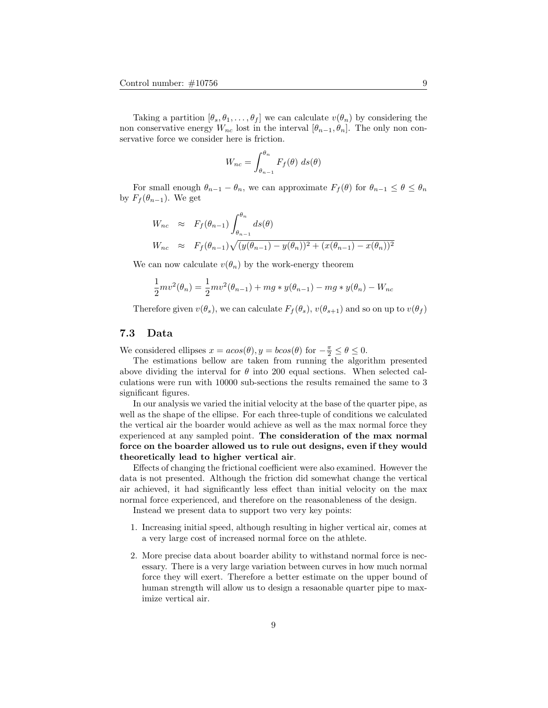Taking a partition  $[\theta_s, \theta_1, \ldots, \theta_f]$  we can calculate  $v(\theta_n)$  by considering the non conservative energy  $W_{nc}$  lost in the interval  $[\theta_{n-1}, \theta_n]$ . The only non conservative force we consider here is friction.

$$
W_{nc} = \int_{\theta_{n-1}}^{\theta_n} F_f(\theta) \ ds(\theta)
$$

For small enough  $\theta_{n-1} - \theta_n$ , we can approximate  $F_f(\theta)$  for  $\theta_{n-1} \leq \theta \leq \theta_n$ by  $F_f(\theta_{n-1})$ . We get

$$
W_{nc} \approx F_f(\theta_{n-1}) \int_{\theta_{n-1}}^{\theta_n} ds(\theta)
$$
  
\n
$$
W_{nc} \approx F_f(\theta_{n-1}) \sqrt{(y(\theta_{n-1}) - y(\theta_n))^2 + (x(\theta_{n-1}) - x(\theta_n))^2}
$$

We can now calculate  $v(\theta_n)$  by the work-energy theorem

$$
\frac{1}{2}mv^{2}(\theta_{n}) = \frac{1}{2}mv^{2}(\theta_{n-1}) + mg * y(\theta_{n-1}) - mg * y(\theta_{n}) - W_{nc}
$$

Therefore given  $v(\theta_s)$ , we can calculate  $F_f(\theta_s)$ ,  $v(\theta_{s+1})$  and so on up to  $v(\theta_f)$ 

#### 7.3 Data

We considered ellipses  $x = a\cos(\theta), y = b\cos(\theta)$  for  $-\frac{\pi}{2} \le \theta \le 0$ .

The estimations bellow are taken from running the algorithm presented above dividing the interval for  $\theta$  into 200 equal sections. When selected calculations were run with 10000 sub-sections the results remained the same to 3 significant figures.

In our analysis we varied the initial velocity at the base of the quarter pipe, as well as the shape of the ellipse. For each three-tuple of conditions we calculated the vertical air the boarder would achieve as well as the max normal force they experienced at any sampled point. The consideration of the max normal force on the boarder allowed us to rule out designs, even if they would theoretically lead to higher vertical air.

Effects of changing the frictional coefficient were also examined. However the data is not presented. Although the friction did somewhat change the vertical air achieved, it had significantly less effect than initial velocity on the max normal force experienced, and therefore on the reasonableness of the design.

Instead we present data to support two very key points:

- 1. Increasing initial speed, although resulting in higher vertical air, comes at a very large cost of increased normal force on the athlete.
- 2. More precise data about boarder ability to withstand normal force is necessary. There is a very large variation between curves in how much normal force they will exert. Therefore a better estimate on the upper bound of human strength will allow us to design a resaonable quarter pipe to maximize vertical air.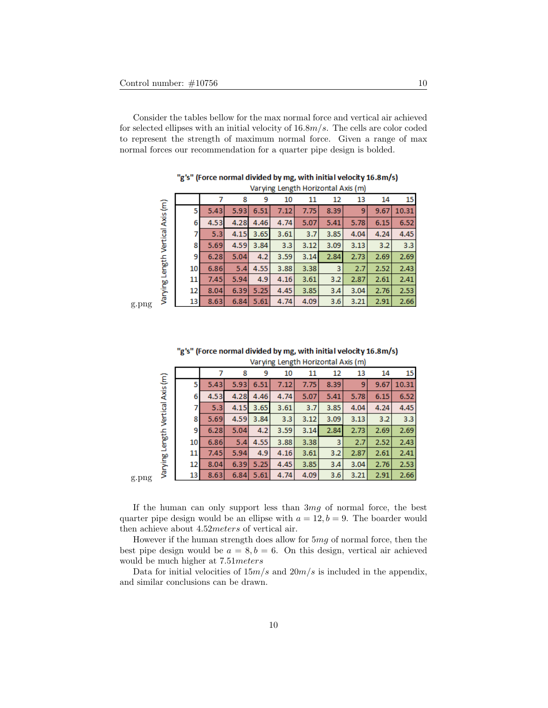Consider the tables bellow for the max normal force and vertical air achieved for selected ellipses with an initial velocity of  $16.8m/s$ . The cells are color coded to represent the strength of maximum normal force. Given a range of max normal forces our recommendation for a quarter pipe design is bolded.

|                          |    |      |      |      | varying Length Horizontal Axis (m) |      |      |      |      |       |
|--------------------------|----|------|------|------|------------------------------------|------|------|------|------|-------|
|                          |    |      | 8    | 9    | 10                                 | 11   | 12   | 13   | 14   | 15    |
| Length Vertical Axis (m) | 5  | 5.43 | 5.93 | 6.51 | 7.12                               | 7.75 | 8.39 | 9    | 9.67 | 10.31 |
|                          | 6  | 4.53 | 4.28 | 4.46 | 4.74                               | 5.07 | 5.41 | 5.78 | 6.15 | 6.52  |
|                          |    | 5.3  | 4.15 | 3.65 | 3.61                               | 3.7  | 3.85 | 4.04 | 4.24 | 4.45  |
|                          | 8  | 5.69 | 4.59 | 3.84 | 3.3                                | 3.12 | 3.09 | 3.13 | 3.2  | 3.3   |
|                          | 9  | 6.28 | 5.04 | 4.2  | 3.59                               | 3.14 | 2.84 | 2.73 | 2.69 | 2.69  |
|                          | 10 | 6.86 | 5.4  | 4.55 | 3.88                               | 3.38 | 3    | 2.7  | 2.52 | 2.43  |
|                          | 11 | 7.45 | 5.94 | 4.9  | 4.16                               | 3.61 | 3.2  | 2.87 | 2.61 | 2.41  |
| Varying                  | 12 | 8.04 | 6.39 | 5.25 | 4.45                               | 3.85 | 3A   | 3.04 | 2.76 | 2.53  |
|                          | 13 | 8.63 | 6.84 | 5.61 | 4.74                               | 4.09 | 3.6  | 3.21 | 2.91 | 2.66  |

"g's" (Force normal divided by mg, with initial velocity 16.8m/s)

g.png

g.png

|                                  | Varying Length Horizontal Axis (m) |      |      |      |      |      |      |      |      |       |  |  |  |  |
|----------------------------------|------------------------------------|------|------|------|------|------|------|------|------|-------|--|--|--|--|
|                                  |                                    |      | 8    | 9    | 10   | 11   | 12   | 13   | 14   | 15    |  |  |  |  |
| Varying Length Vertical Axis (m) | 5                                  | 5.43 | 5.93 | 6.51 | 7.12 | 7.75 | 8.39 | 9    | 9.67 | 10.31 |  |  |  |  |
|                                  | 6                                  | 4.53 | 4.28 | 4.46 | 4.74 | 5.07 | 5.41 | 5.78 | 6.15 | 6.52  |  |  |  |  |
|                                  |                                    | 5.3  | 4.15 | 3.65 | 3.61 | 3.7  | 3.85 | 4.04 | 4.24 | 4.45  |  |  |  |  |
|                                  | 8                                  | 5.69 | 4.59 | 3.84 | 3.3  | 3.12 | 3.09 | 3.13 | 3.2  | 3.3   |  |  |  |  |
|                                  | 9                                  | 6.28 | 5.04 | 4.2  | 3.59 | 3.14 | 2.84 | 2.73 | 2.69 | 2.69  |  |  |  |  |
|                                  | 10                                 | 6.86 | 5.4  | 4.55 | 3.88 | 3.38 | 3    | 2.7  | 2.52 | 2.43  |  |  |  |  |
|                                  | 11                                 | 7.45 | 5.94 | 4.9  | 4.16 | 3.61 | 3.2  | 2.87 | 2.61 | 2.41  |  |  |  |  |
|                                  | 12                                 | 8.04 | 6.39 | 5.25 | 4.45 | 3.85 | 3A   | 3.04 | 2.76 | 2.53  |  |  |  |  |
|                                  | 13.                                | 8.63 | 6.84 | 5.61 | 4.74 | 4.09 | 3.6  | 3.21 | 2.91 | 2.66  |  |  |  |  |

"g's" (Force normal divided by mg, with initial velocity 16.8m/s)

If the human can only support less than  $3mq$  of normal force, the best quarter pipe design would be an ellipse with  $a = 12, b = 9$ . The boarder would then achieve about 4.52meters of vertical air.

However if the human strength does allow for 5mg of normal force, then the best pipe design would be  $a = 8, b = 6$ . On this design, vertical air achieved would be much higher at 7.51meters

Data for initial velocities of  $15m/s$  and  $20m/s$  is included in the appendix, and similar conclusions can be drawn.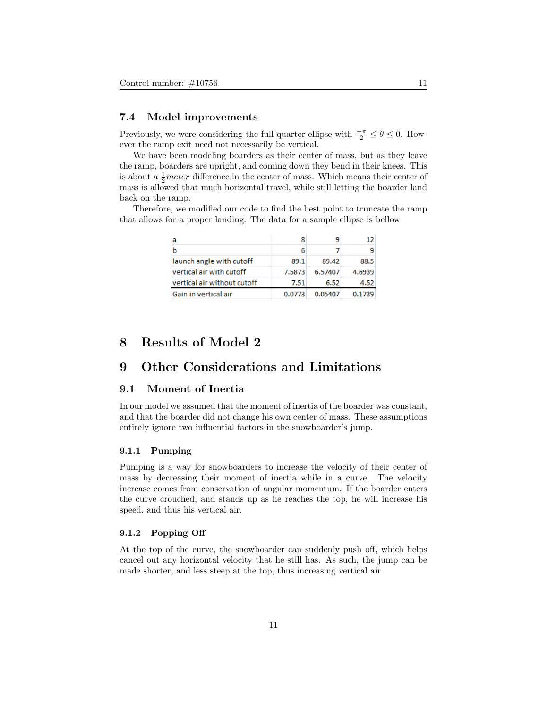#### 7.4 Model improvements

Previously, we were considering the full quarter ellipse with  $\frac{-\pi}{2} \le \theta \le 0$ . However the ramp exit need not necessarily be vertical.

We have been modeling boarders as their center of mass, but as they leave the ramp, boarders are upright, and coming down they bend in their knees. This is about a  $\frac{1}{2}$  meter difference in the center of mass. Which means their center of mass is allowed that much horizontal travel, while still letting the boarder land back on the ramp.

Therefore, we modified our code to find the best point to truncate the ramp that allows for a proper landing. The data for a sample ellipse is bellow

| а                           |        |         |        |
|-----------------------------|--------|---------|--------|
|                             | 6      |         |        |
| launch angle with cutoff    | 89.1   | 89.42   | 88.5   |
| vertical air with cutoff    | 7.5873 | 6.57407 | 4.6939 |
| vertical air without cutoff | 7.51   | 6.52    | 4.52   |
| Gain in vertical air        | 0.0773 | 0.05407 | 0.1739 |

### 8 Results of Model 2

### 9 Other Considerations and Limitations

#### 9.1 Moment of Inertia

In our model we assumed that the moment of inertia of the boarder was constant, and that the boarder did not change his own center of mass. These assumptions entirely ignore two influential factors in the snowboarder's jump.

#### 9.1.1 Pumping

Pumping is a way for snowboarders to increase the velocity of their center of mass by decreasing their moment of inertia while in a curve. The velocity increase comes from conservation of angular momentum. If the boarder enters the curve crouched, and stands up as he reaches the top, he will increase his speed, and thus his vertical air.

#### 9.1.2 Popping Off

At the top of the curve, the snowboarder can suddenly push off, which helps cancel out any horizontal velocity that he still has. As such, the jump can be made shorter, and less steep at the top, thus increasing vertical air.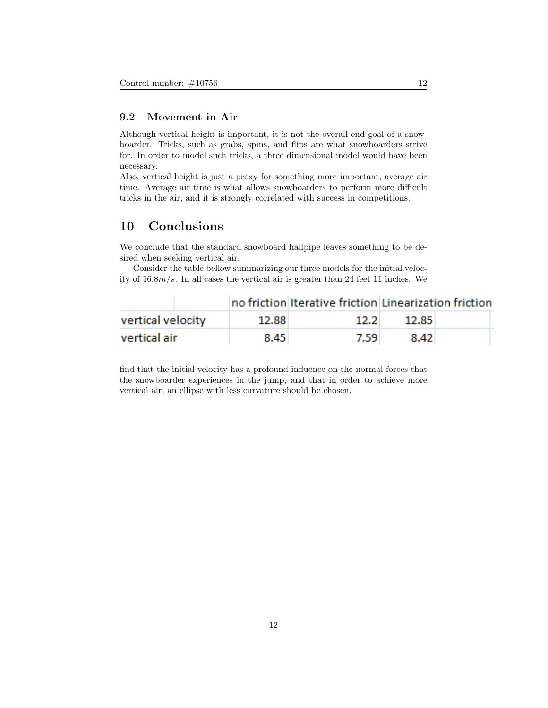### 9.2 Movement in Air

Although vertical height is important, it is not the overall end goal of a snowboarder. Tricks, such as grabs, spins, and flips are what snowboarders strive for. In order to model such tricks, a three dimensional model would have been necessary.

Also, vertical height is just a proxy for something more important, average air time. Average air time is what allows snowboarders to perform more difficult tricks in the air, and it is strongly correlated with success in competitions.

### 10 Conclusions

We conclude that the standard snowboard halfpipe leaves something to be desired when seeking vertical air.

Consider the table bellow summarizing our three models for the initial velocity of 16.8m/s. In all cases the vertical air is greater than 24 feet 11 inches. We

|                   |       | no friction Iterative friction Linearization friction |       |  |
|-------------------|-------|-------------------------------------------------------|-------|--|
| vertical velocity | 12.88 | 12.2 <sub>1</sub>                                     | 12.85 |  |
| vertical air      | 8.45  | 7.59                                                  | 8.42  |  |

find that the initial velocity has a profound influence on the normal forces that the snowboarder experiences in the jump, and that in order to achieve more vertical air, an ellipse with less curvature should be chosen.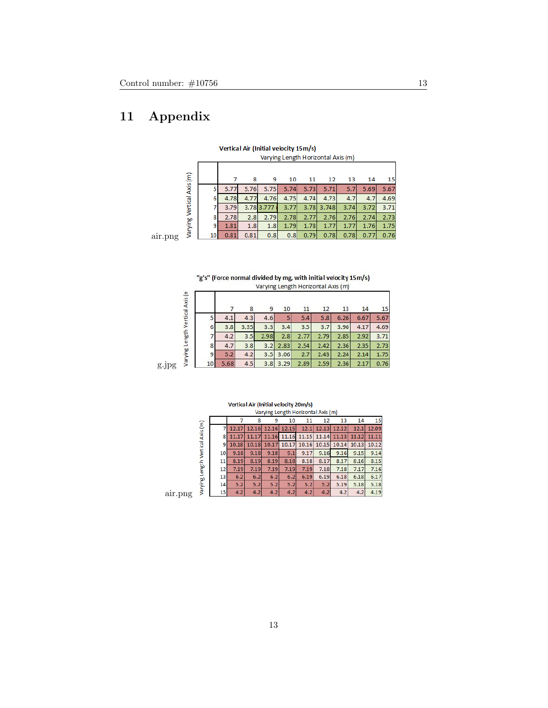# 11 Appendix

|                   |    |      |      |            |      |      | Varying Length Horizontal Axis (m) |      |      |      |
|-------------------|----|------|------|------------|------|------|------------------------------------|------|------|------|
|                   |    |      | 8    | 9          | 10   | 11   | 12                                 | 13   | 14   | 15   |
|                   |    | 5.77 | 5.76 | 5.75       | 5.74 | 5.73 | 5.71                               | 5.7  | 5.69 | 5.67 |
| Vertical Axis (m) | 6  | 4.78 | 4.77 | 4.76       | 4.75 | 4.74 | 4.73                               | 4.7  | 4.7  | 4.69 |
|                   |    | 3.79 |      | 3.78 3.777 | 3.77 | 3.78 | 3.748                              | 3.74 | 3.72 | 3.71 |
|                   | 8  | 2.78 | 2.8  | 2.79       | 2.78 | 2.77 | 2.76                               | 2.76 | 2.74 | 2.73 |
| Varying'          | 9  | 1.81 | 1.8  | 1.8        | 1.79 | 1.78 | 1.77                               | 1.77 | 1.76 | 1.75 |
|                   | 10 | 0.81 | 0.81 | 0.8        | 0.8  | 0.79 | 0.78                               | 0.78 | 0.77 | 0.76 |

Vertical Air (Initial velocity 15m/s)  $+$ al Avis (ma)

air.png

"g's" (Force normal divided by mg, with initial velocity 15m/s) Varying Length Horizontal Axis (m)

| Varying Length Vertical Axis (n |    |      | 8    | 9    | 10   | 11   | 12   | 13   | 14   | 15   |
|---------------------------------|----|------|------|------|------|------|------|------|------|------|
|                                 |    | 4.1  | 4.3  | 4.6  | 5    | 5.4  | 5.8  | 6.26 | 6.67 | 5.67 |
|                                 | 6  | 3.8  | 3.35 | 3.3  | 3.4  | 3.5  | 3.7  | 3.96 | 4.17 | 4.69 |
|                                 |    | 4.2  | 3.5  | 2.98 | 2.8  | 2.77 | 2.79 | 2.85 | 2.92 | 3.71 |
|                                 | 8  | 4.7  | 3.8  | 3.2  | 2.83 | 2.54 | 2.42 | 2.36 | 2.35 | 2.73 |
|                                 | 9  | 5.2  | 4.2  | 3.5  | 3.06 | 2.7  | 2.43 | 2.24 | 2.14 | 1.75 |
| g                               | 10 | 5.68 | 4.5  | 3.8  | 3.29 | 2.89 | 2.59 | 2.36 | 2.17 | 0.76 |

g.jpg

|         | Vertical Air (Initial velocity 20m/s) |    |       |       |       |       |       |       |       |       |       |  |  |  |
|---------|---------------------------------------|----|-------|-------|-------|-------|-------|-------|-------|-------|-------|--|--|--|
|         | Varying Length Horizontal Axis (m)    |    |       |       |       |       |       |       |       |       |       |  |  |  |
|         |                                       |    |       | 8     | 9     | 10    | 11    | 12    | 13    | 14    | 15    |  |  |  |
|         | Vertical Axis (m)                     |    | 12.17 | 12.16 | 12.16 | 12.15 | 12.1  | 12.13 | 12.12 | 12.1  | 12.09 |  |  |  |
|         |                                       | 8  | 11.17 | 11.17 | 11.16 | 11.16 | 11.15 | 11.14 | 11.13 | 11.12 | 11.11 |  |  |  |
|         |                                       | ٩  | 10.18 | 10.18 | 10.17 | 10.17 | 10.16 | 10.15 | 10.14 | 10.13 | 10.12 |  |  |  |
|         |                                       | 10 | 9.18  | 9.18  | 9.18  | 9.1   | 9.17  | 9.16  | 9.16  | 9.15  | 9.14  |  |  |  |
|         | Length <sup>"</sup>                   | 11 | 8.19  | 8.19  | 8.19  | 8.18  | 8.18  | 8.17  | 8.17  | 8.16  | 8.15  |  |  |  |
|         |                                       | 12 | 7.19  | 7.19  | 7.19  | 7.19  | 7.19  | 7.18  | 7.18  | 7.17  | 7.16  |  |  |  |
|         |                                       | 13 | 6.2   | 6.2   | 6.2   | 6.2   | 6.19  | 6.19  | 6.18  | 6.18  | 6.17  |  |  |  |
|         | Varying                               | 14 | 5.2   | 5.2   | 5.2   | 5.2   | 5.2   | 5.2   | 5.19  | 5.18  | 5.18  |  |  |  |
| air.png |                                       | 15 | 4.2   | 4.2   | 4.2   | 4.2   | 4.2   | 4.2   | 4.2   | 4.2   | 4.19  |  |  |  |
|         |                                       |    |       |       |       |       |       |       |       |       |       |  |  |  |